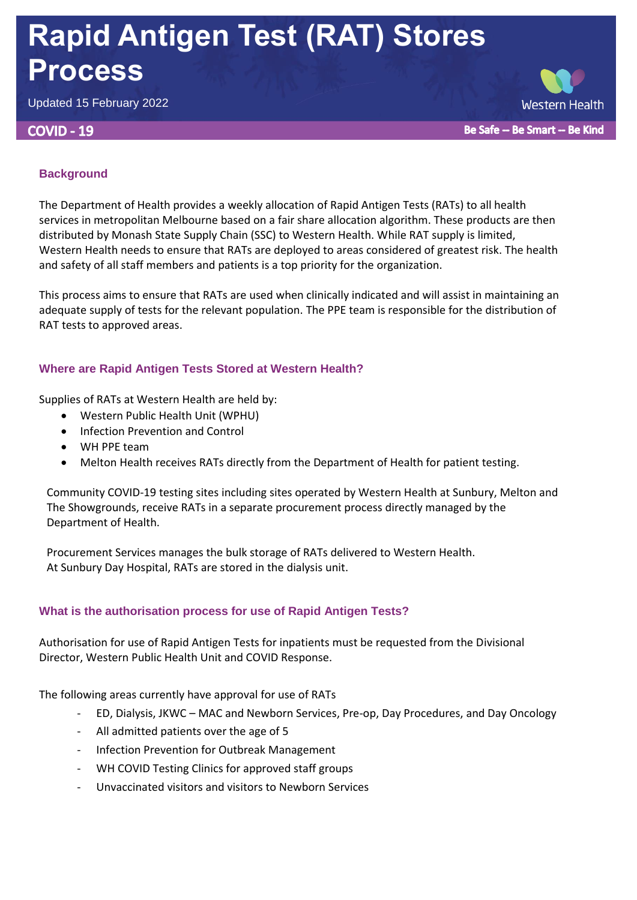# **Rapid Antigen Test (RAT) Stores Process**

Updated 15 February 2022

#### **COVID - 19**

**Western Health** Be Safe -- Be Smart -- Be Kind

## **Background**

The Department of Health provides a weekly allocation of Rapid Antigen Tests (RATs) to all health services in metropolitan Melbourne based on a fair share allocation algorithm. These products are then distributed by Monash State Supply Chain (SSC) to Western Health. While RAT supply is limited, Western Health needs to ensure that RATs are deployed to areas considered of greatest risk. The health and safety of all staff members and patients is a top priority for the organization.

This process aims to ensure that RATs are used when clinically indicated and will assist in maintaining an adequate supply of tests for the relevant population. The PPE team is responsible for the distribution of RAT tests to approved areas.

## **Where are Rapid Antigen Tests Stored at Western Health?**

Supplies of RATs at Western Health are held by:

- Western Public Health Unit (WPHU)
- Infection Prevention and Control
- WH PPE team
- Melton Health receives RATs directly from the Department of Health for patient testing.

Community COVID-19 testing sites including sites operated by Western Health at Sunbury, Melton and The Showgrounds, receive RATs in a separate procurement process directly managed by the Department of Health.

Procurement Services manages the bulk storage of RATs delivered to Western Health. At Sunbury Day Hospital, RATs are stored in the dialysis unit.

## **What is the authorisation process for use of Rapid Antigen Tests?**

Authorisation for use of Rapid Antigen Tests for inpatients must be requested from the Divisional Director, Western Public Health Unit and COVID Response.

The following areas currently have approval for use of RATs

- ED, Dialysis, JKWC MAC and Newborn Services, Pre-op, Day Procedures, and Day Oncology
- All admitted patients over the age of 5
- Infection Prevention for Outbreak Management
- WH COVID Testing Clinics for approved staff groups
- Unvaccinated visitors and visitors to Newborn Services